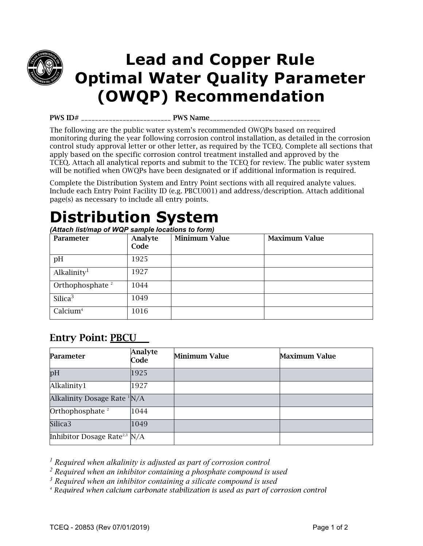

## **Lead and Copper Rule Optimal Water Quality Parameter (OWQP) Recommendation**

PWS ID# \_\_\_\_\_\_\_\_\_\_\_\_\_\_\_\_\_\_\_\_\_\_\_\_\_\_ PWS Name\_\_\_\_\_\_\_\_\_\_\_\_\_\_\_\_\_\_\_\_\_\_\_\_\_\_\_\_\_\_\_\_

The following are the public water system's recommended OWQPs based on required monitoring during the year following corrosion control installation, as detailed in the corrosion control study approval letter or other letter, as required by the TCEQ. Complete all sections that apply based on the specific corrosion control treatment installed and approved by the TCEQ. Attach all analytical reports and submit to the TCEQ for review. The public water system will be notified when OWQPs have been designated or if additional information is required.

Complete the Distribution System and Entry Point sections with all required analyte values. Include each Entry Point Facility ID (e.g. PBCU001) and address/description. Attach additional page(s) as necessary to include all entry points.

## **Distribution System**

*(Attach list/map of WQP sample locations to form)* 

| Parameter                   | Analyte<br>Code | <b>Minimum Value</b> | <b>Maximum Value</b> |
|-----------------------------|-----------------|----------------------|----------------------|
| pH                          | 1925            |                      |                      |
| Alkalinity <sup>1</sup>     | 1927            |                      |                      |
| Orthophosphate <sup>2</sup> | 1044            |                      |                      |
| Silica $3$                  | 1049            |                      |                      |
| Calcium <sup>4</sup>        | 1016            |                      |                      |

### Entry Point: PBCU

| Parameter                                  | <b>Analyte</b><br>Code | Minimum Value | Maximum Value |
|--------------------------------------------|------------------------|---------------|---------------|
| pH                                         | 1925                   |               |               |
| Alkalinity1                                | 1927                   |               |               |
| Alkalinity Dosage Rate $\frac{1}{N/A}$     |                        |               |               |
| Orthophosphate <sup>2</sup>                | 1044                   |               |               |
| Silica3                                    | 1049                   |               |               |
| Inhibitor Dosage Rate <sup>2,3</sup> $N/A$ |                        |               |               |

<sup>1</sup> Required when alkalinity is adjusted as part of corrosion control

*2 Required when an inhibitor containing a phosphate compound is used* 

*3 Required when an inhibitor containing a silicate compound is used* 

*<sup>4</sup> Required when calcium carbonate stabilization is used as part of corrosion control*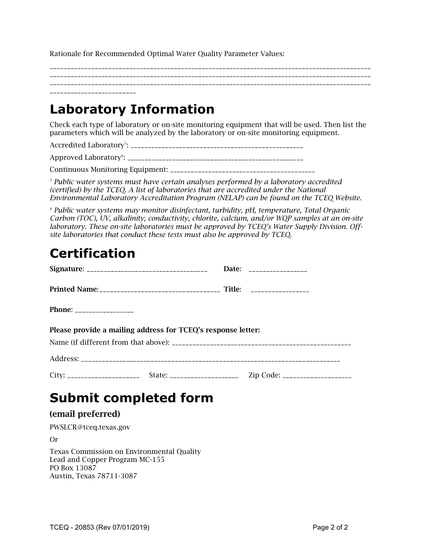Rationale for Recommended Optimal Water Quality Parameter Values:

\_\_\_\_\_\_\_\_\_\_\_\_\_\_\_\_\_\_\_\_\_\_\_\_\_\_\_\_\_\_\_\_\_\_\_\_\_\_\_\_\_\_\_\_\_\_\_\_\_\_\_\_\_\_\_\_\_\_\_\_\_\_\_\_\_\_\_\_\_\_\_\_\_\_\_\_\_\_\_\_\_\_\_\_\_\_\_\_\_\_\_\_\_ \_\_\_\_\_\_\_\_\_\_\_\_\_\_\_\_\_\_\_\_\_\_\_\_\_\_\_\_\_\_\_\_\_\_\_\_\_\_\_\_\_\_\_\_\_\_\_\_\_\_\_\_\_\_\_\_\_\_\_\_\_\_\_\_\_\_\_\_\_\_\_\_\_\_\_\_\_\_\_\_\_\_\_\_\_\_\_\_\_\_\_\_\_ \_\_\_\_\_\_\_\_\_\_\_\_\_\_\_\_\_\_\_\_\_\_\_\_\_\_\_\_\_\_\_\_\_\_\_\_\_\_\_\_\_\_\_\_\_\_\_\_\_\_\_\_\_\_\_\_\_\_\_\_\_\_\_\_\_\_\_\_\_\_\_\_\_\_\_\_\_\_\_\_\_\_\_\_\_\_\_\_\_\_\_\_\_ \_\_\_\_\_\_\_\_\_\_\_\_\_\_\_\_\_\_\_\_\_\_\_\_\_

### **Laboratory Information**

Check each type of laboratory or on-site monitoring equipment that will be used. Then list the parameters which will be analyzed by the laboratory or on-site monitoring equipment.

Accredited Laboratory5 : \_\_\_\_\_\_\_\_\_\_\_\_\_\_\_\_\_\_\_\_\_\_\_\_\_\_\_\_\_\_\_\_\_\_\_\_\_\_\_\_\_\_\_\_\_\_\_\_\_\_

Approved Laboratory6 : \_\_\_\_\_\_\_\_\_\_\_\_\_\_\_\_\_\_\_\_\_\_\_\_\_\_\_\_\_\_\_\_\_\_\_\_\_\_\_\_\_\_\_\_\_\_\_\_\_\_\_

Continuous Monitoring Equipment: \_\_\_\_\_\_\_\_\_\_\_\_\_\_\_\_\_\_\_\_\_\_\_\_\_\_\_\_\_\_\_\_\_\_\_\_\_\_\_\_\_\_

*<sup>5</sup> Public water systems must have certain analyses performed by a laboratory accredited (certified) by the TCEQ. A list of laboratories that are accredited under the National Environmental Laboratory Accreditation Program (NELAP) can be found on the TCEQ Website.*

*<sup>6</sup> Public water systems may monitor disinfectant, turbidity, pH, temperature, Total Organic Carbon (TOC), UV, alkalinity, conductivity, chlorite, calcium, and/or WQP samples at an on-site laboratory. These on-site laboratories must be approved by TCEQ's Water Supply Division. Offsite laboratories that conduct these tests must also be approved by TCEQ.*

## **Certification**

|                                                              |  |  | Date: __________________ |  |
|--------------------------------------------------------------|--|--|--------------------------|--|
|                                                              |  |  |                          |  |
| <b>Phone: _________________</b>                              |  |  |                          |  |
| Please provide a mailing address for TCEQ's response letter: |  |  |                          |  |
|                                                              |  |  |                          |  |
|                                                              |  |  |                          |  |
|                                                              |  |  |                          |  |

### **Submit completed form**

#### (email preferred)

PWSLCR@tceq.texas.gov

Or

Texas Commission on Environmental Quality Lead and Copper Program MC-155 PO Box 13087 Austin, Texas 78711-3087